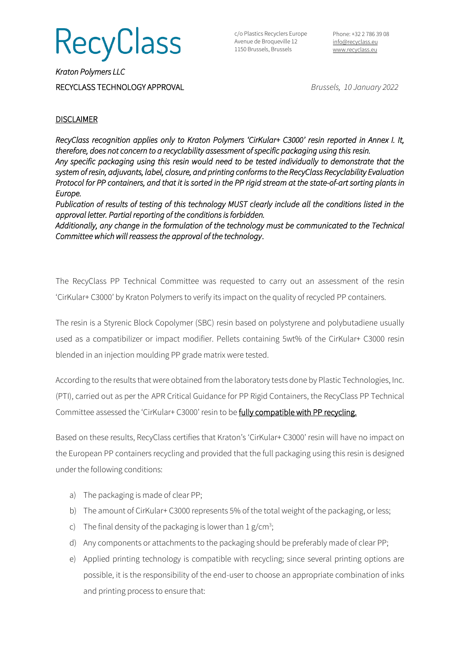# RecyClass

c/o Plastics Recyclers Europe Avenue de Broqueville 12 1150 Brussels, Brussels

Phone: +32 2 786 39 08 [info@recyclass.eu](mailto:info@recyclass.eu) [www.recyclass.eu](http://www.recyclass.eu/)

*Kraton Polymers LLC*  RECYCLASS TECHNOLOGY APPROVAL *Brussels, 10 January 2022*

### **DISCLAIMER**

*RecyClass recognition applies only to Kraton Polymers 'CirKular+ C3000' resin reported in Annex I. It, therefore, does not concern to a recyclability assessment of specific packaging using this resin. Any specific packaging using this resin would need to be tested individually to demonstrate that the system of resin, adjuvants, label, closure, and printing conforms to the RecyClass Recyclability Evaluation Protocol for PP containers, and that it is sorted in the PP rigid stream at the state-of-art sorting plants in Europe.* 

*Publication of results of testing of this technology MUST clearly include all the conditions listed in the approval letter. Partial reporting of the conditions is forbidden.* 

*Additionally, any change in the formulation of the technology must be communicated to the Technical Committee which will reassess the approval of the technology*.

The RecyClass PP Technical Committee was requested to carry out an assessment of the resin 'CirKular+ C3000' by Kraton Polymers to verify its impact on the quality of recycled PP containers.

The resin is a Styrenic Block Copolymer (SBC) resin based on polystyrene and polybutadiene usually used as a compatibilizer or impact modifier. Pellets containing 5wt% of the CirKular+ C3000 resin blended in an injection moulding PP grade matrix were tested.

According to the results that were obtained from the laboratory tests done by Plastic Technologies, Inc. (PTI), carried out as per the APR Critical Guidance for PP Rigid Containers, the RecyClass PP Technical Committee assessed the 'CirKular+ C3000' resin to be fully compatible with PP recycling.

Based on these results, RecyClass certifies that Kraton's 'CirKular+ C3000' resin will have no impact on the European PP containers recycling and provided that the full packaging using this resin is designed under the following conditions:

- a) The packaging is made of clear PP;
- b) The amount of CirKular+ C3000 represents 5% of the total weight of the packaging, or less;
- c) The final density of the packaging is lower than  $1 g/cm^3$ ;
- d) Any components or attachments to the packaging should be preferably made of clear PP;
- e) Applied printing technology is compatible with recycling; since several printing options are possible, it is the responsibility of the end-user to choose an appropriate combination of inks and printing process to ensure that: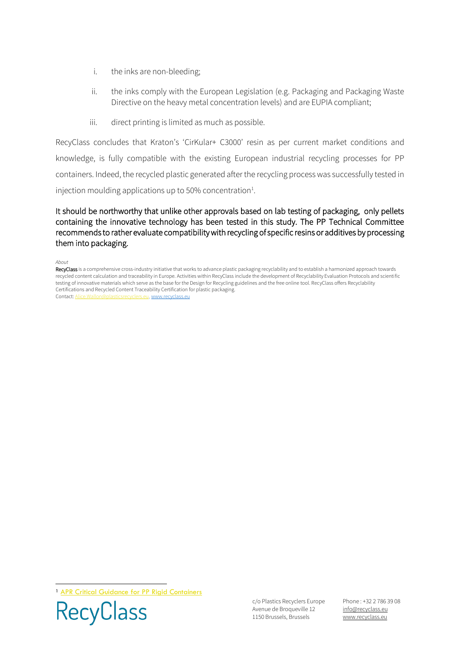- i. the inks are non-bleeding;
- ii. the inks comply with the European Legislation (e.g. Packaging and Packaging Waste Directive on the heavy metal concentration levels) and are EUPIA compliant;
- iii. direct printing is limited as much as possible.

RecyClass concludes that Kraton's 'CirKular+ C3000' resin as per current market conditions and knowledge, is fully compatible with the existing European industrial recycling processes for PP containers. Indeed, the recycled plastic generated after the recycling process was successfully tested in injection moulding applications up to 50% concentration<sup>1</sup>.

It should be northworthy that unlike other approvals based on lab testing of packaging, only pellets containing the innovative technology has been tested in this study. The PP Technical Committee recommends to rather evaluate compatibility with recycling of specific resins or additives by processing them into packaging.

#### *About*

RecyClass is a comprehensive cross-industry initiative that works to advance plastic packaging recyclability and to establish a harmonized approach towards recycled content calculation and traceability in Europe. Activities within RecyClass include the development of Recyclability Evaluation Protocols and scientific testing of innovative materials which serve as the base for the Design for Recycling guidelines and the free online tool. RecyClass offers Recyclability Certifications and Recycled Content Traceability Certification for plastic packaging. Contact[: Alice.Wallon@plasticsrecyclers.eu,](mailto:Alice.Wallon@plasticsrecyclers.eu) [www.recyclass.eu](http://www.recyclass.eu/)

<sup>1</sup> [APR Critical Guidance for PP Rigid Containers](https://plasticsrecycling.org/images/Design-Guidance-Tests/APR-PP-CG-01-critical-guidance.pdf)



c/o Plastics Recyclers Europe Avenue de Broqueville 12 1150 Brussels, Brussels

Phone : +32 2 786 39 08 info[@recyclass.eu](mailto:recyclass@plasticsrecyclers.eu) www.recyclass.eu